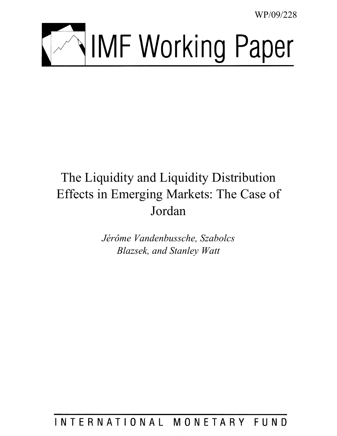WP/09/228



# The Liquidity and Liquidity Distribution Effects in Emerging Markets: The Case of Jordan

*Jérôme Vandenbussche, Szabolcs Blazsek, and Stanley Watt* 

# INTERNATIONAL MONETARY FUND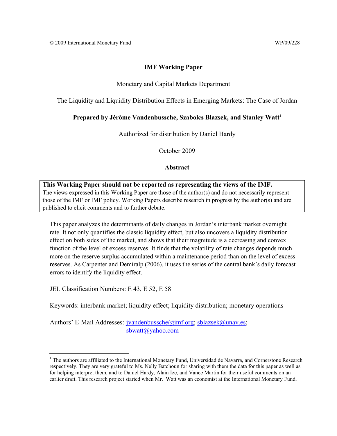#### **IMF Working Paper**

# Monetary and Capital Markets Department

The Liquidity and Liquidity Distribution Effects in Emerging Markets: The Case of Jordan

#### Prepared by Jérôme Vandenbussche, Szabolcs Blazsek, and Stanley Watt<sup>1</sup>

Authorized for distribution by Daniel Hardy

October 2009

#### **Abstract**

#### **This Working Paper should not be reported as representing the views of the IMF.** The views expressed in this Working Paper are those of the author(s) and do not necessarily represent those of the IMF or IMF policy. Working Papers describe research in progress by the author(s) and are published to elicit comments and to further debate.

This paper analyzes the determinants of daily changes in Jordan's interbank market overnight rate. It not only quantifies the classic liquidity effect, but also uncovers a liquidity distribution effect on both sides of the market, and shows that their magnitude is a decreasing and convex function of the level of excess reserves. It finds that the volatility of rate changes depends much more on the reserve surplus accumulated within a maintenance period than on the level of excess reserves. As Carpenter and Demiralp (2006), it uses the series of the central bank's daily forecast errors to identify the liquidity effect.

JEL Classification Numbers: E 43, E 52, E 58

1

Keywords: interbank market; liquidity effect; liquidity distribution; monetary operations

Authors' E-Mail Addresses: jvandenbussche@imf.org; sblazsek@unav.es; sbwatt@yahoo.com

<sup>&</sup>lt;sup>1</sup> The authors are affiliated to the International Monetary Fund, Universidad de Navarra, and Cornerstone Research respectively. They are very grateful to Ms. Nelly Batchoun for sharing with them the data for this paper as well as for helping interpret them, and to Daniel Hardy, Alain Ize, and Vance Martin for their useful comments on an earlier draft. This research project started when Mr. Watt was an economist at the International Monetary Fund.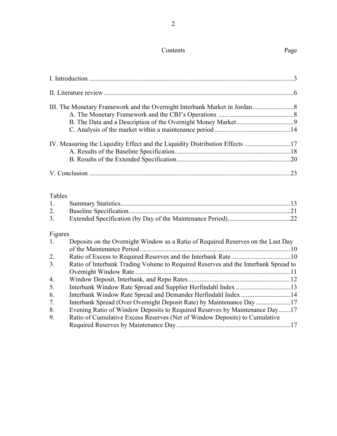# Contents Page

|                | IV. Measuring the Liquidity Effect and the Liquidity Distribution Effects 17       |  |
|----------------|------------------------------------------------------------------------------------|--|
|                |                                                                                    |  |
|                |                                                                                    |  |
|                |                                                                                    |  |
|                |                                                                                    |  |
| Tables         |                                                                                    |  |
| 1.             |                                                                                    |  |
| 2.             |                                                                                    |  |
| 3 <sub>1</sub> |                                                                                    |  |
| Figures        |                                                                                    |  |
| 1.             | Deposits on the Overnight Window as a Ratio of Required Reserves on the Last Day   |  |
|                |                                                                                    |  |
| 2.             |                                                                                    |  |
| 3 <sub>1</sub> | Ratio of Interbank Trading Volume to Required Reserves and the Interbank Spread to |  |
|                |                                                                                    |  |
| 4.             |                                                                                    |  |
| 5.             |                                                                                    |  |
| 6.             | Interbank Window Rate Spread and Demander Herfindahl Index 14                      |  |
| 7.             | Interbank Spread (Over Overnight Deposit Rate) by Maintenance Day 17               |  |
| 8.             | Evening Ratio of Window Deposits to Required Reserves by Maintenance Day17         |  |

| υ. | L'UNITE NATION DE WINDOW DUPOSITS TO INGLIEU INSURANCE DY IMAINVIANCE DAY17 |
|----|-----------------------------------------------------------------------------|
|    | Ratio of Cumulative Excess Reserves (Net of Window Deposits) to Cumulative  |
|    |                                                                             |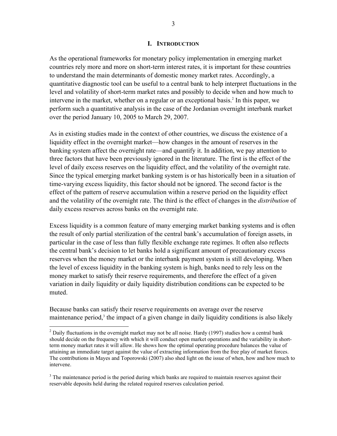#### **I. INTRODUCTION**

As the operational frameworks for monetary policy implementation in emerging market countries rely more and more on short-term interest rates, it is important for these countries to understand the main determinants of domestic money market rates. Accordingly, a quantitative diagnostic tool can be useful to a central bank to help interpret fluctuations in the level and volatility of short-term market rates and possibly to decide when and how much to intervene in the market, whether on a regular or an exceptional basis.<sup>2</sup> In this paper, we perform such a quantitative analysis in the case of the Jordanian overnight interbank market over the period January 10, 2005 to March 29, 2007.

As in existing studies made in the context of other countries, we discuss the existence of a liquidity effect in the overnight market—how changes in the amount of reserves in the banking system affect the overnight rate—and quantify it. In addition, we pay attention to three factors that have been previously ignored in the literature. The first is the effect of the level of daily excess reserves on the liquidity effect, and the volatility of the overnight rate. Since the typical emerging market banking system is or has historically been in a situation of time-varying excess liquidity, this factor should not be ignored. The second factor is the effect of the pattern of reserve accumulation within a reserve period on the liquidity effect and the volatility of the overnight rate. The third is the effect of changes in the *distribution* of daily excess reserves across banks on the overnight rate.

Excess liquidity is a common feature of many emerging market banking systems and is often the result of only partial sterilization of the central bank's accumulation of foreign assets, in particular in the case of less than fully flexible exchange rate regimes. It often also reflects the central bank's decision to let banks hold a significant amount of precautionary excess reserves when the money market or the interbank payment system is still developing. When the level of excess liquidity in the banking system is high, banks need to rely less on the money market to satisfy their reserve requirements, and therefore the effect of a given variation in daily liquidity or daily liquidity distribution conditions can be expected to be muted.

Because banks can satisfy their reserve requirements on average over the reserve maintenance period,<sup>3</sup> the impact of a given change in daily liquidity conditions is also likely

 $\overline{a}$ 

<sup>&</sup>lt;sup>2</sup> Daily fluctuations in the overnight market may not be all noise. Hardy (1997) studies how a central bank should decide on the frequency with which it will conduct open market operations and the variability in shortterm money market rates it will allow. He shows how the optimal operating procedure balances the value of attaining an immediate target against the value of extracting information from the free play of market forces. The contributions in Mayes and Toporowski (2007) also shed light on the issue of when, how and how much to intervene.

 $3$  The maintenance period is the period during which banks are required to maintain reserves against their reservable deposits held during the related required reserves calculation period.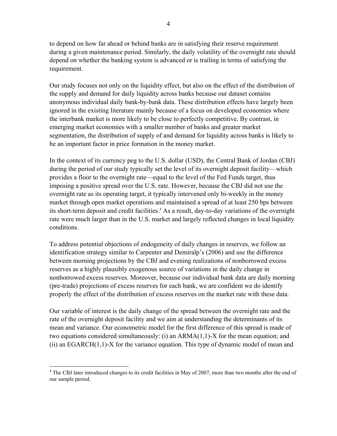to depend on how far ahead or behind banks are in satisfying their reserve requirement during a given maintenance period. Similarly, the daily volatility of the overnight rate should depend on whether the banking system is advanced or is trailing in terms of satisfying the requirement.

Our study focuses not only on the liquidity effect, but also on the effect of the distribution of the supply and demand for daily liquidity across banks because our dataset contains anonymous individual daily bank-by-bank data. These distribution effects have largely been ignored in the existing literature mainly because of a focus on developed economies where the interbank market is more likely to be close to perfectly competitive. By contrast, in emerging market economies with a smaller number of banks and greater market segmentation, the distribution of supply of and demand for liquidity across banks is likely to be an important factor in price formation in the money market.

In the context of its currency peg to the U.S. dollar (USD), the Central Bank of Jordan (CBJ) during the period of our study typically set the level of its overnight deposit facility—which provides a floor to the overnight rate—equal to the level of the Fed Funds target, thus imposing a positive spread over the U.S. rate. However, because the CBJ did not use the overnight rate as its operating target, it typically intervened only bi-weekly in the money market through open market operations and maintained a spread of at least 250 bps between its short-term deposit and credit facilities.<sup>4</sup> As a result, day-to-day variations of the overnight rate were much larger than in the U.S. market and largely reflected changes in local liquidity conditions.

To address potential objections of endogeneity of daily changes in reserves, we follow an identification strategy similar to Carpenter and Demiralp's (2006) and use the difference between morning projections by the CBJ and evening realizations of nonborrowed excess reserves as a highly plausibly exogenous source of variations in the daily change in nonborrowed excess reserves. Moreover, because our individual bank data are daily morning (pre-trade) projections of excess reserves for each bank, we are confident we do identify properly the effect of the distribution of excess reserves on the market rate with these data.

Our variable of interest is the daily change of the spread between the overnight rate and the rate of the overnight deposit facility and we aim at understanding the determinants of its mean and variance. Our econometric model for the first difference of this spread is made of two equations considered simultaneously: (i) an ARMA(1,1)-X for the mean equation; and  $(i)$  an EGARCH $(1,1)$ -X for the variance equation. This type of dynamic model of mean and

1

<sup>&</sup>lt;sup>4</sup> The CBJ later introduced changes to its credit facilities in May of 2007, more than two months after the end of our sample period.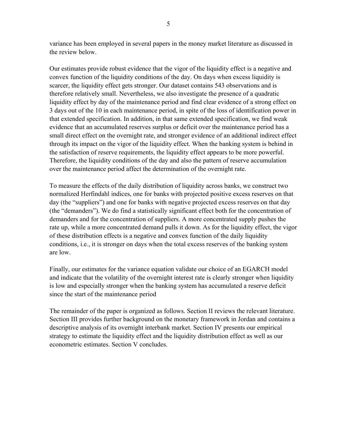variance has been employed in several papers in the money market literature as discussed in the review below.

Our estimates provide robust evidence that the vigor of the liquidity effect is a negative and convex function of the liquidity conditions of the day. On days when excess liquidity is scarcer, the liquidity effect gets stronger. Our dataset contains 543 observations and is therefore relatively small. Nevertheless, we also investigate the presence of a quadratic liquidity effect by day of the maintenance period and find clear evidence of a strong effect on 3 days out of the 10 in each maintenance period, in spite of the loss of identification power in that extended specification. In addition, in that same extended specification, we find weak evidence that an accumulated reserves surplus or deficit over the maintenance period has a small direct effect on the overnight rate, and stronger evidence of an additional indirect effect through its impact on the vigor of the liquidity effect. When the banking system is behind in the satisfaction of reserve requirements, the liquidity effect appears to be more powerful. Therefore, the liquidity conditions of the day and also the pattern of reserve accumulation over the maintenance period affect the determination of the overnight rate.

To measure the effects of the daily distribution of liquidity across banks, we construct two normalized Herfindahl indices, one for banks with projected positive excess reserves on that day (the "suppliers") and one for banks with negative projected excess reserves on that day (the "demanders"). We do find a statistically significant effect both for the concentration of demanders and for the concentration of suppliers. A more concentrated supply pushes the rate up, while a more concentrated demand pulls it down. As for the liquidity effect, the vigor of these distribution effects is a negative and convex function of the daily liquidity conditions, i.e., it is stronger on days when the total excess reserves of the banking system are low.

Finally, our estimates for the variance equation validate our choice of an EGARCH model and indicate that the volatility of the overnight interest rate is clearly stronger when liquidity is low and especially stronger when the banking system has accumulated a reserve deficit since the start of the maintenance period

The remainder of the paper is organized as follows. Section II reviews the relevant literature. Section III provides further background on the monetary framework in Jordan and contains a descriptive analysis of its overnight interbank market. Section IV presents our empirical strategy to estimate the liquidity effect and the liquidity distribution effect as well as our econometric estimates. Section V concludes.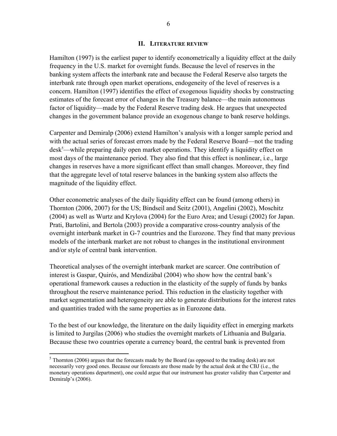#### **II. LITERATURE REVIEW**

Hamilton (1997) is the earliest paper to identify econometrically a liquidity effect at the daily frequency in the U.S. market for overnight funds. Because the level of reserves in the banking system affects the interbank rate and because the Federal Reserve also targets the interbank rate through open market operations, endogeneity of the level of reserves is a concern. Hamilton (1997) identifies the effect of exogenous liquidity shocks by constructing estimates of the forecast error of changes in the Treasury balance—the main autonomous factor of liquidity—made by the Federal Reserve trading desk. He argues that unexpected changes in the government balance provide an exogenous change to bank reserve holdings.

Carpenter and Demiralp (2006) extend Hamilton's analysis with a longer sample period and with the actual series of forecast errors made by the Federal Reserve Board—not the trading desk<sup>5</sup>—while preparing daily open market operations. They identify a liquidity effect on most days of the maintenance period. They also find that this effect is nonlinear, i.e., large changes in reserves have a more significant effect than small changes. Moreover, they find that the aggregate level of total reserve balances in the banking system also affects the magnitude of the liquidity effect.

Other econometric analyses of the daily liquidity effect can be found (among others) in Thornton (2006, 2007) for the US; Bindseil and Seitz (2001), Angelini (2002), Moschitz (2004) as well as Wurtz and Krylova (2004) for the Euro Area; and Uesugi (2002) for Japan. Prati, Bartolini, and Bertola (2003) provide a comparative cross-country analysis of the overnight interbank market in G-7 countries and the Eurozone. They find that many previous models of the interbank market are not robust to changes in the institutional environment and/or style of central bank intervention.

Theoretical analyses of the overnight interbank market are scarcer. One contribution of interest is Gaspar, Quirós, and Mendizábal (2004) who show how the central bank's operational framework causes a reduction in the elasticity of the supply of funds by banks throughout the reserve maintenance period. This reduction in the elasticity together with market segmentation and heterogeneity are able to generate distributions for the interest rates and quantities traded with the same properties as in Eurozone data.

To the best of our knowledge, the literature on the daily liquidity effect in emerging markets is limited to Jurgilas (2006) who studies the overnight markets of Lithuania and Bulgaria. Because these two countries operate a currency board, the central bank is prevented from

 $\overline{a}$ 

 $<sup>5</sup>$  Thornton (2006) argues that the forecasts made by the Board (as opposed to the trading desk) are not</sup> necessarily very good ones. Because our forecasts are those made by the actual desk at the CBJ (i.e., the monetary operations department), one could argue that our instrument has greater validity than Carpenter and Demiralp's (2006).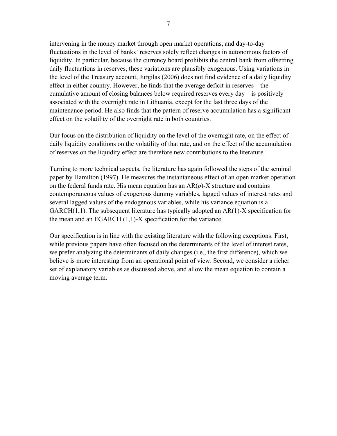intervening in the money market through open market operations, and day-to-day fluctuations in the level of banks' reserves solely reflect changes in autonomous factors of liquidity. In particular, because the currency board prohibits the central bank from offsetting daily fluctuations in reserves, these variations are plausibly exogenous. Using variations in the level of the Treasury account, Jurgilas (2006) does not find evidence of a daily liquidity effect in either country. However, he finds that the average deficit in reserves—the cumulative amount of closing balances below required reserves every day—is positively associated with the overnight rate in Lithuania, except for the last three days of the maintenance period. He also finds that the pattern of reserve accumulation has a significant effect on the volatility of the overnight rate in both countries.

Our focus on the distribution of liquidity on the level of the overnight rate, on the effect of daily liquidity conditions on the volatility of that rate, and on the effect of the accumulation of reserves on the liquidity effect are therefore new contributions to the literature.

Turning to more technical aspects, the literature has again followed the steps of the seminal paper by Hamilton (1997). He measures the instantaneous effect of an open market operation on the federal funds rate. His mean equation has an AR(*p*)-X structure and contains contemporaneous values of exogenous dummy variables, lagged values of interest rates and several lagged values of the endogenous variables, while his variance equation is a GARCH(1,1). The subsequent literature has typically adopted an AR(1)-X specification for the mean and an EGARCH (1,1)-X specification for the variance.

Our specification is in line with the existing literature with the following exceptions. First, while previous papers have often focused on the determinants of the level of interest rates, we prefer analyzing the determinants of daily changes (i.e., the first difference), which we believe is more interesting from an operational point of view. Second, we consider a richer set of explanatory variables as discussed above, and allow the mean equation to contain a moving average term.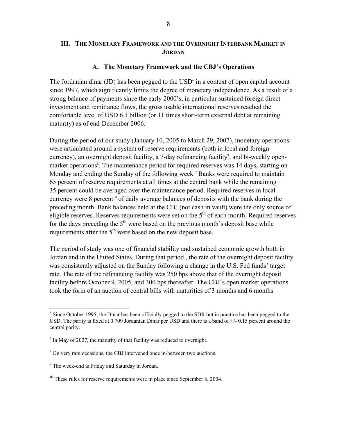# **III. THE MONETARY FRAMEWORK AND THE OVERNIGHT INTERBANK MARKET IN JORDAN**

#### **A. The Monetary Framework and the CBJ's Operations**

The Jordanian dinar  $(JD)$  has been pegged to the  $USD<sup>6</sup>$  in a context of open capital account since 1997, which significantly limits the degree of monetary independence. As a result of a strong balance of payments since the early 2000's, in particular sustained foreign direct investment and remittance flows, the gross usable international reserves reached the comfortable level of USD 6.1 billion (or 11 times short-term external debt at remaining maturity) as of end-December 2006.

During the period of our study (January 10, 2005 to March 29, 2007), monetary operations were articulated around a system of reserve requirements (both in local and foreign currency), an overnight deposit facility, a 7-day refinancing facility<sup>7</sup>, and bi-weekly openmarket operations<sup>8</sup>. The maintenance period for required reserves was 14 days, starting on Monday and ending the Sunday of the following week.<sup>9</sup> Banks were required to maintain 65 percent of reserve requirements at all times at the central bank while the remaining 35 percent could be averaged over the maintenance period. Required reserves in local currency were 8 percent<sup>10</sup> of daily average balances of deposits with the bank during the preceding month. Bank balances held at the CBJ (not cash in vault) were the only source of eligible reserves. Reserves requirements were set on the  $5<sup>th</sup>$  of each month. Required reserves for the days preceding the  $5<sup>th</sup>$  were based on the previous month's deposit base while requirements after the 5<sup>th</sup> were based on the new deposit base.

The period of study was one of financial stability and sustained economic growth both in Jordan and in the United States. During that period , the rate of the overnight deposit facility was consistently adjusted on the Sunday following a change in the U.S. Fed funds' target rate. The rate of the refinancing facility was 250 bps above that of the overnight deposit facility before October 9, 2005, and 300 bps thereafter. The CBJ's open market operations took the form of an auction of central bills with maturities of 3 months and 6 months

 $\overline{a}$ 

<sup>&</sup>lt;sup>6</sup> Since October 1995, the Dinar has been officially pegged to the SDR but in practice has been pegged to the USD. The parity is fixed at 0.709 Jordanian Dinar per USD and there is a band of +/- 0.15 percent around the central parity.

 $<sup>7</sup>$  In May of 2007, the maturity of that facility was reduced to overnight.</sup>

<sup>&</sup>lt;sup>8</sup> On very rare occasions, the CBJ intervened once in-between two auctions.

<sup>&</sup>lt;sup>9</sup> The week-end is Friday and Saturday in Jordan.

 $10$  These rules for reserve requirements were in place since September 6, 2004.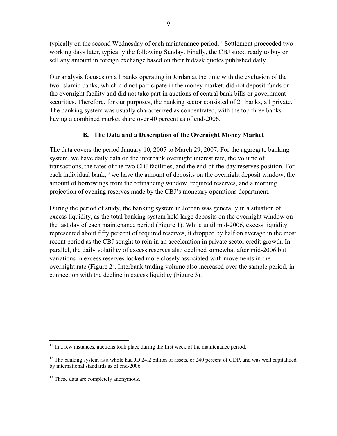typically on the second Wednesday of each maintenance period.<sup>11</sup> Settlement proceeded two working days later, typically the following Sunday. Finally, the CBJ stood ready to buy or sell any amount in foreign exchange based on their bid/ask quotes published daily.

Our analysis focuses on all banks operating in Jordan at the time with the exclusion of the two Islamic banks, which did not participate in the money market, did not deposit funds on the overnight facility and did not take part in auctions of central bank bills or government securities. Therefore, for our purposes, the banking sector consisted of 21 banks, all private.<sup>12</sup> The banking system was usually characterized as concentrated, with the top three banks having a combined market share over 40 percent as of end-2006.

# **B. The Data and a Description of the Overnight Money Market**

The data covers the period January 10, 2005 to March 29, 2007. For the aggregate banking system, we have daily data on the interbank overnight interest rate, the volume of transactions, the rates of the two CBJ facilities, and the end-of-the-day reserves position. For each individual bank,<sup>13</sup> we have the amount of deposits on the overnight deposit window, the amount of borrowings from the refinancing window, required reserves, and a morning projection of evening reserves made by the CBJ's monetary operations department.

During the period of study, the banking system in Jordan was generally in a situation of excess liquidity, as the total banking system held large deposits on the overnight window on the last day of each maintenance period (Figure 1). While until mid-2006, excess liquidity represented about fifty percent of required reserves, it dropped by half on average in the most recent period as the CBJ sought to rein in an acceleration in private sector credit growth. In parallel, the daily volatility of excess reserves also declined somewhat after mid-2006 but variations in excess reserves looked more closely associated with movements in the overnight rate (Figure 2). Interbank trading volume also increased over the sample period, in connection with the decline in excess liquidity (Figure 3).

 $\overline{a}$ <sup>11</sup> In a few instances, auctions took place during the first week of the maintenance period.

 $12$  The banking system as a whole had JD 24.2 billion of assets, or 240 percent of GDP, and was well capitalized by international standards as of end-2006.

<sup>&</sup>lt;sup>13</sup> These data are completely anonymous.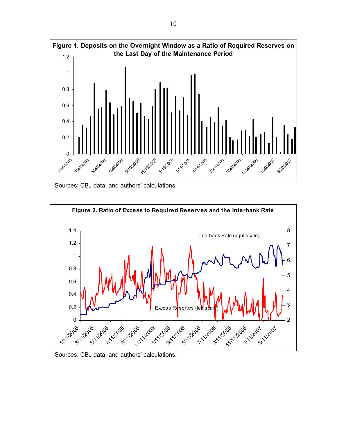





Sources: CBJ data; and authors' calculations.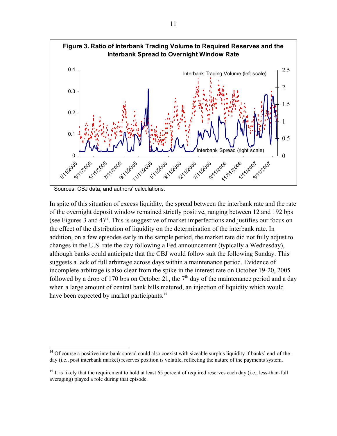

Sources: CBJ data; and authors' calculations.

 $\overline{a}$ 

In spite of this situation of excess liquidity, the spread between the interbank rate and the rate of the overnight deposit window remained strictly positive, ranging between 12 and 192 bps (see Figures 3 and  $4$ )<sup>14</sup>. This is suggestive of market imperfections and justifies our focus on the effect of the distribution of liquidity on the determination of the interbank rate. In addition, on a few episodes early in the sample period, the market rate did not fully adjust to changes in the U.S. rate the day following a Fed announcement (typically a Wednesday), although banks could anticipate that the CBJ would follow suit the following Sunday. This suggests a lack of full arbitrage across days within a maintenance period. Evidence of incomplete arbitrage is also clear from the spike in the interest rate on October 19-20, 2005 followed by a drop of 170 bps on October 21, the  $7<sup>th</sup>$  day of the maintenance period and a day when a large amount of central bank bills matured, an injection of liquidity which would have been expected by market participants.<sup>15</sup>

 $14$  Of course a positive interbank spread could also coexist with sizeable surplus liquidity if banks' end-of-theday (i.e., post interbank market) reserves position is volatile, reflecting the nature of the payments system.

<sup>&</sup>lt;sup>15</sup> It is likely that the requirement to hold at least 65 percent of required reserves each day (i.e., less-than-full averaging) played a role during that episode.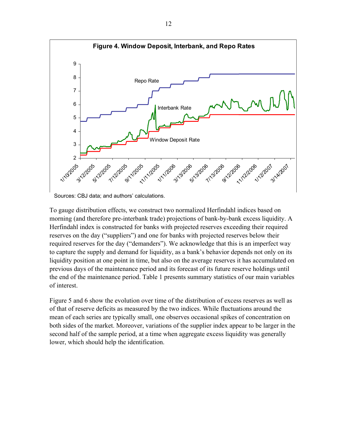

Sources: CBJ data; and authors' calculations.

To gauge distribution effects, we construct two normalized Herfindahl indices based on morning (and therefore pre-interbank trade) projections of bank-by-bank excess liquidity. A Herfindahl index is constructed for banks with projected reserves exceeding their required reserves on the day ("suppliers") and one for banks with projected reserves below their required reserves for the day ("demanders"). We acknowledge that this is an imperfect way to capture the supply and demand for liquidity, as a bank's behavior depends not only on its liquidity position at one point in time, but also on the average reserves it has accumulated on previous days of the maintenance period and its forecast of its future reserve holdings until the end of the maintenance period. Table 1 presents summary statistics of our main variables of interest.

Figure 5 and 6 show the evolution over time of the distribution of excess reserves as well as of that of reserve deficits as measured by the two indices. While fluctuations around the mean of each series are typically small, one observes occasional spikes of concentration on both sides of the market. Moreover, variations of the supplier index appear to be larger in the second half of the sample period, at a time when aggregate excess liquidity was generally lower, which should help the identification.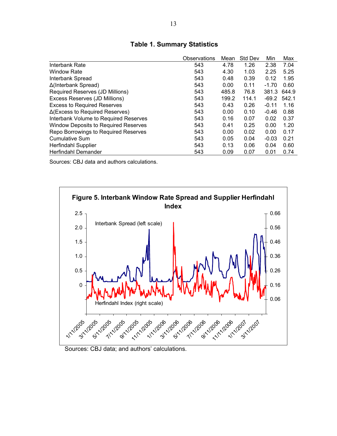|                                             | Observations | Mean  | <b>Std Dev</b> | Min     | Max   |
|---------------------------------------------|--------------|-------|----------------|---------|-------|
| Interbank Rate                              | 543          | 4.78  | 1.26           | 2.38    | 7.04  |
| <b>Window Rate</b>                          | 543          | 4.30  | 1.03           | 2.25    | 5.25  |
| Interbank Spread                            | 543          | 0.48  | 0.39           | 0.12    | 1.95  |
| Δ(Interbank Spread)                         | 543          | 0.00  | 0.11           | $-1.70$ | 0.60  |
| Required Reserves (JD Millions)             | 543          | 485.8 | 76.8           | 381.3   | 644.9 |
| Excess Reserves (JD Millions)               | 543          | 199.2 | 114.1          | $-69.2$ | 542.1 |
| <b>Excess to Required Reserves</b>          | 543          | 0.43  | 0.26           | $-0.11$ | 1.16  |
| $\Delta$ (Excess to Required Reserves)      | 543          | 0.00  | 0.10           | $-0.46$ | 0.88  |
| Interbank Volume to Required Reserves       | 543          | 0.16  | 0.07           | 0.02    | 0.37  |
| <b>Window Deposits to Required Reserves</b> | 543          | 0.41  | 0.25           | 0.00    | 1.20  |
| Repo Borrowings to Required Reserves        | 543          | 0.00  | 0.02           | 0.00    | 0.17  |
| <b>Cumulative Sum</b>                       | 543          | 0.05  | 0.04           | $-0.03$ | 0.21  |
| <b>Herfindahl Supplier</b>                  | 543          | 0.13  | 0.06           | 0.04    | 0.60  |
| Herfindahl Demander                         | 543          | 0.09  | 0.07           | 0.01    | 0.74  |

# **Table 1. Summary Statistics**

Sources: CBJ data and authors calculations.



Sources: CBJ data; and authors' calculations.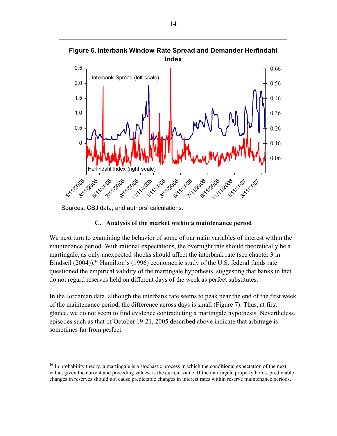

Sources: CBJ data; and authors' calculations.

<u>.</u>

# **C. Analysis of the market within a maintenance period**

We next turn to examining the behavior of some of our main variables of interest within the maintenance period. With rational expectations, the overnight rate should theoretically be a martingale, as only unexpected shocks should affect the interbank rate (see chapter 3 in Bindseil (2004)).<sup>16</sup> Hamilton's (1996) econometric study of the U.S. federal funds rate questioned the empirical validity of the martingale hypothesis, suggesting that banks in fact do not regard reserves held on different days of the week as perfect substitutes.

In the Jordanian data, although the interbank rate seems to peak near the end of the first week of the maintenance period, the difference across days is small (Figure 7). Thus, at first glance, we do not seem to find evidence contradicting a martingale hypothesis. Nevertheless, episodes such as that of October 19-21, 2005 described above indicate that arbitrage is sometimes far from perfect.

<sup>&</sup>lt;sup>16</sup> In probability theory, a martingale is a stochastic process in which the conditional expectation of the next value, given the current and preceding values, is the current value. If the martingale property holds, predictable changes in reserves should not cause predictable changes in interest rates within reserve maintenance periods.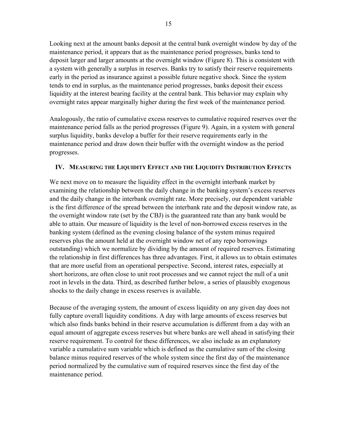Looking next at the amount banks deposit at the central bank overnight window by day of the maintenance period, it appears that as the maintenance period progresses, banks tend to deposit larger and larger amounts at the overnight window (Figure 8). This is consistent with a system with generally a surplus in reserves. Banks try to satisfy their reserve requirements early in the period as insurance against a possible future negative shock. Since the system tends to end in surplus, as the maintenance period progresses, banks deposit their excess liquidity at the interest bearing facility at the central bank. This behavior may explain why overnight rates appear marginally higher during the first week of the maintenance period.

Analogously, the ratio of cumulative excess reserves to cumulative required reserves over the maintenance period falls as the period progresses (Figure 9). Again, in a system with general surplus liquidity, banks develop a buffer for their reserve requirements early in the maintenance period and draw down their buffer with the overnight window as the period progresses.

# **IV. MEASURING THE LIQUIDITY EFFECT AND THE LIQUIDITY DISTRIBUTION EFFECTS**

We next move on to measure the liquidity effect in the overnight interbank market by examining the relationship between the daily change in the banking system's excess reserves and the daily change in the interbank overnight rate. More precisely, our dependent variable is the first difference of the spread between the interbank rate and the deposit window rate, as the overnight window rate (set by the CBJ) is the guaranteed rate than any bank would be able to attain. Our measure of liquidity is the level of non-borrowed excess reserves in the banking system (defined as the evening closing balance of the system minus required reserves plus the amount held at the overnight window net of any repo borrowings outstanding) which we normalize by dividing by the amount of required reserves. Estimating the relationship in first differences has three advantages. First, it allows us to obtain estimates that are more useful from an operational perspective. Second, interest rates, especially at short horizons, are often close to unit root processes and we cannot reject the null of a unit root in levels in the data. Third, as described further below, a series of plausibly exogenous shocks to the daily change in excess reserves is available.

Because of the averaging system, the amount of excess liquidity on any given day does not fully capture overall liquidity conditions. A day with large amounts of excess reserves but which also finds banks behind in their reserve accumulation is different from a day with an equal amount of aggregate excess reserves but where banks are well ahead in satisfying their reserve requirement. To control for these differences, we also include as an explanatory variable a cumulative sum variable which is defined as the cumulative sum of the closing balance minus required reserves of the whole system since the first day of the maintenance period normalized by the cumulative sum of required reserves since the first day of the maintenance period.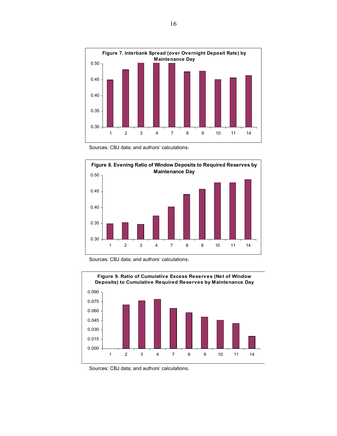

Sources: CBJ data; and authors' calculations.







Sources: CBJ data; and authors' calculations.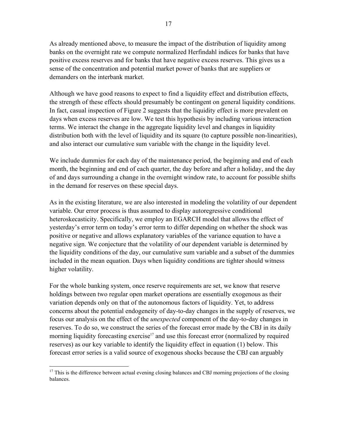As already mentioned above, to measure the impact of the distribution of liquidity among banks on the overnight rate we compute normalized Herfindahl indices for banks that have positive excess reserves and for banks that have negative excess reserves. This gives us a sense of the concentration and potential market power of banks that are suppliers or demanders on the interbank market.

Although we have good reasons to expect to find a liquidity effect and distribution effects, the strength of these effects should presumably be contingent on general liquidity conditions. In fact, casual inspection of Figure 2 suggests that the liquidity effect is more prevalent on days when excess reserves are low. We test this hypothesis by including various interaction terms. We interact the change in the aggregate liquidity level and changes in liquidity distribution both with the level of liquidity and its square (to capture possible non-linearities), and also interact our cumulative sum variable with the change in the liquidity level.

We include dummies for each day of the maintenance period, the beginning and end of each month, the beginning and end of each quarter, the day before and after a holiday, and the day of and days surrounding a change in the overnight window rate, to account for possible shifts in the demand for reserves on these special days.

As in the existing literature, we are also interested in modeling the volatility of our dependent variable. Our error process is thus assumed to display autoregressive conditional heteroskecasticity. Specifically, we employ an EGARCH model that allows the effect of yesterday's error term on today's error term to differ depending on whether the shock was positive or negative and allows explanatory variables of the variance equation to have a negative sign. We conjecture that the volatility of our dependent variable is determined by the liquidity conditions of the day, our cumulative sum variable and a subset of the dummies included in the mean equation. Days when liquidity conditions are tighter should witness higher volatility.

For the whole banking system, once reserve requirements are set, we know that reserve holdings between two regular open market operations are essentially exogenous as their variation depends only on that of the autonomous factors of liquidity. Yet, to address concerns about the potential endogeneity of day-to-day changes in the supply of reserves, we focus our analysis on the effect of the *unexpected* component of the day-to-day changes in reserves. To do so, we construct the series of the forecast error made by the CBJ in its daily morning liquidity forecasting exercise<sup>17</sup> and use this forecast error (normalized by required reserves) as our key variable to identify the liquidity effect in equation (1) below. This forecast error series is a valid source of exogenous shocks because the CBJ can arguably

<sup>1</sup> <sup>17</sup> This is the difference between actual evening closing balances and CBJ morning projections of the closing balances.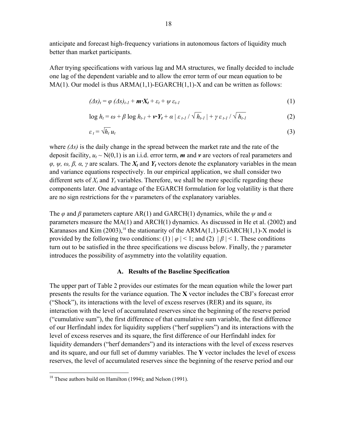anticipate and forecast high-frequency variations in autonomous factors of liquidity much better than market participants.

After trying specifications with various lag and MA structures, we finally decided to include one lag of the dependent variable and to allow the error term of our mean equation to be  $MA(1)$ . Our model is thus  $ARMA(1,1)-EGARCH(1,1)-X$  and can be written as follows:

$$
(\Delta s)_t = \varphi \, (\Delta s)_{t-1} + \mathbf{m} \cdot \mathbf{X}_t + \varepsilon_t + \psi \, \varepsilon_{t-1} \tag{1}
$$

$$
\log h_t = \omega + \beta \log h_{t-1} + \nu \cdot Y_t + \alpha \mid \varepsilon_{t-1} / \sqrt{h_{t-1}} \mid + \gamma \varepsilon_{t-1} / \sqrt{h_{t-1}}
$$
(2)

$$
\varepsilon_t = \sqrt{h_t} u_t \tag{3}
$$

where *(Δs)* is the daily change in the spread between the market rate and the rate of the deposit facility,  $u_t \sim N(0,1)$  is an i.i.d. error term, **m** and **v** are vectors of real parameters and  $\varphi$ ,  $\psi$ ,  $\omega$ ,  $\beta$ ,  $\alpha$ ,  $\gamma$  are scalars. The  $X_t$  and  $Y_t$  vectors denote the explanatory variables in the mean and variance equations respectively. In our empirical application, we shall consider two different sets of  $X_t$  and  $Y_t$  variables. Therefore, we shall be more specific regarding these components later. One advantage of the EGARCH formulation for log volatility is that there are no sign restrictions for the *v* parameters of the explanatory variables.

The *φ* and *β* parameters capture AR(1) and GARCH(1) dynamics, while the *ψ* and *α* parameters measure the MA(1) and ARCH(1) dynamics. As discussed in He et al. (2002) and Karanasos and Kim  $(2003)$ ,<sup>18</sup> the stationarity of the ARMA $(1,1)$ -EGARCH $(1,1)$ -X model is provided by the following two conditions: (1)  $|\varphi|$  < 1; and (2)  $|\beta|$  < 1. These conditions turn out to be satisfied in the three specifications we discuss below. Finally, the *γ* parameter introduces the possibility of asymmetry into the volatility equation.

#### **A. Results of the Baseline Specification**

The upper part of Table 2 provides our estimates for the mean equation while the lower part presents the results for the variance equation. The **X** vector includes the CBJ's forecast error ("Shock"), its interactions with the level of excess reserves (RER) and its square, its interaction with the level of accumulated reserves since the beginning of the reserve period ("cumulative sum"), the first difference of that cumulative sum variable, the first difference of our Herfindahl index for liquidity suppliers ("herf suppliers") and its interactions with the level of excess reserves and its square, the first difference of our Herfindahl index for liquidity demanders ("herf demanders") and its interactions with the level of excess reserves and its square, and our full set of dummy variables. The **Y** vector includes the level of excess reserves, the level of accumulated reserves since the beginning of the reserve period and our

 $\overline{a}$ 

<sup>&</sup>lt;sup>18</sup> These authors build on Hamilton (1994); and Nelson (1991).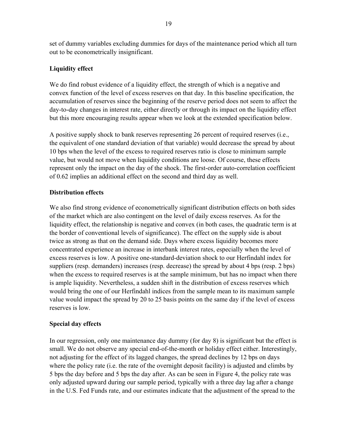set of dummy variables excluding dummies for days of the maintenance period which all turn out to be econometrically insignificant.

# **Liquidity effect**

We do find robust evidence of a liquidity effect, the strength of which is a negative and convex function of the level of excess reserves on that day. In this baseline specification, the accumulation of reserves since the beginning of the reserve period does not seem to affect the day-to-day changes in interest rate, either directly or through its impact on the liquidity effect but this more encouraging results appear when we look at the extended specification below.

A positive supply shock to bank reserves representing 26 percent of required reserves (i.e., the equivalent of one standard deviation of that variable) would decrease the spread by about 10 bps when the level of the excess to required reserves ratio is close to minimum sample value, but would not move when liquidity conditions are loose. Of course, these effects represent only the impact on the day of the shock. The first-order auto-correlation coefficient of 0.62 implies an additional effect on the second and third day as well.

# **Distribution effects**

We also find strong evidence of econometrically significant distribution effects on both sides of the market which are also contingent on the level of daily excess reserves. As for the liquidity effect, the relationship is negative and convex (in both cases, the quadratic term is at the border of conventional levels of significance). The effect on the supply side is about twice as strong as that on the demand side. Days where excess liquidity becomes more concentrated experience an increase in interbank interest rates, especially when the level of excess reserves is low. A positive one-standard-deviation shock to our Herfindahl index for suppliers (resp. demanders) increases (resp. decrease) the spread by about 4 bps (resp. 2 bps) when the excess to required reserves is at the sample minimum, but has no impact when there is ample liquidity. Nevertheless, a sudden shift in the distribution of excess reserves which would bring the one of our Herfindahl indices from the sample mean to its maximum sample value would impact the spread by 20 to 25 basis points on the same day if the level of excess reserves is low.

# **Special day effects**

In our regression, only one maintenance day dummy (for day 8) is significant but the effect is small. We do not observe any special end-of-the-month or holiday effect either. Interestingly, not adjusting for the effect of its lagged changes, the spread declines by 12 bps on days where the policy rate (i.e. the rate of the overnight deposit facility) is adjusted and climbs by 5 bps the day before and 5 bps the day after. As can be seen in Figure 4, the policy rate was only adjusted upward during our sample period, typically with a three day lag after a change in the U.S. Fed Funds rate, and our estimates indicate that the adjustment of the spread to the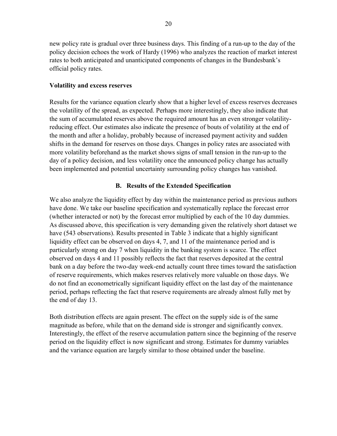new policy rate is gradual over three business days. This finding of a run-up to the day of the policy decision echoes the work of Hardy (1996) who analyzes the reaction of market interest rates to both anticipated and unanticipated components of changes in the Bundesbank's official policy rates.

#### **Volatility and excess reserves**

Results for the variance equation clearly show that a higher level of excess reserves decreases the volatility of the spread, as expected. Perhaps more interestingly, they also indicate that the sum of accumulated reserves above the required amount has an even stronger volatilityreducing effect. Our estimates also indicate the presence of bouts of volatility at the end of the month and after a holiday, probably because of increased payment activity and sudden shifts in the demand for reserves on those days. Changes in policy rates are associated with more volatility beforehand as the market shows signs of small tension in the run-up to the day of a policy decision, and less volatility once the announced policy change has actually been implemented and potential uncertainty surrounding policy changes has vanished.

# **B. Results of the Extended Specification**

We also analyze the liquidity effect by day within the maintenance period as previous authors have done. We take our baseline specification and systematically replace the forecast error (whether interacted or not) by the forecast error multiplied by each of the 10 day dummies. As discussed above, this specification is very demanding given the relatively short dataset we have (543 observations). Results presented in Table 3 indicate that a highly significant liquidity effect can be observed on days 4, 7, and 11 of the maintenance period and is particularly strong on day 7 when liquidity in the banking system is scarce. The effect observed on days 4 and 11 possibly reflects the fact that reserves deposited at the central bank on a day before the two-day week-end actually count three times toward the satisfaction of reserve requirements, which makes reserves relatively more valuable on those days. We do not find an econometrically significant liquidity effect on the last day of the maintenance period, perhaps reflecting the fact that reserve requirements are already almost fully met by the end of day 13.

Both distribution effects are again present. The effect on the supply side is of the same magnitude as before, while that on the demand side is stronger and significantly convex. Interestingly, the effect of the reserve accumulation pattern since the beginning of the reserve period on the liquidity effect is now significant and strong. Estimates for dummy variables and the variance equation are largely similar to those obtained under the baseline.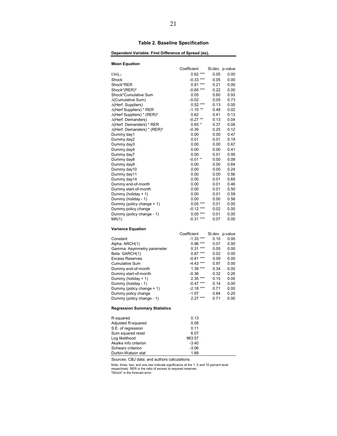#### **Table 2. Baseline Specification**

#### Dependent Variable: First Difference of Spread ( $\Delta$ s)<sub>t</sub>

| <b>Mean Equation</b>                           |                        |                 |      |
|------------------------------------------------|------------------------|-----------------|------|
|                                                | Coefficient            | St.dev. p-value |      |
| $(\Delta s)_{t-1}$                             | $0.62***$              | 0.05            | 0.00 |
| Shock                                          | $-0.33$ ***            | 0.05            | 0.00 |
| Shock*RER                                      | $0.91***$              | 0.21            | 0.00 |
| Shock*(RER) <sup>2</sup>                       | $-0.65$ ***            | 0.22            | 0.00 |
| Shock*Cumulative Sum                           | 0.05                   | 0.60            | 0.93 |
| ∆(Cumulative Sum)                              | $-0.02$                | 0.05            | 0.73 |
| $\Delta$ (Herf. Suppliers)                     | $0.52***$              | 0.13            | 0.00 |
| $\Delta$ (Herf Suppliers) * RER                | $-1.10$ **             | 0.48            | 0.02 |
| $\Delta$ (Herf Suppliers) * (RER) <sup>2</sup> | 0.62                   | 0.41            | 0.13 |
| $\Delta$ (Herf. Demanders)                     | $-0.27$ **             | 0.13            | 0.04 |
| ∆(Herf. Demanders) * RER                       | $0.65*$                | 0.37            | 0.08 |
| ∆(Herf. Demanders) * (RER) <sup>2</sup>        | $-0.39$                | 0.25            | 0.12 |
| Dummy day1                                     | 0.00                   | 0.00            | 0.47 |
| Dummy day2                                     | 0.01                   | 0.01            | 0.19 |
| Dummy day3                                     | 0.00                   | 0.00            | 0.67 |
| Dummy day4                                     | 0.00                   | 0.00            | 0.41 |
| Dummy day7                                     | 0.00                   | 0.01            | 0.95 |
| Dummy day8                                     | $-0.01$ *              | 0.00            | 0.09 |
| Dummy day9                                     | 0.00                   | 0.00            | 0.64 |
| Dummy day10                                    | 0.00                   | 0.00            | 0.24 |
| Dummy day11                                    | 0.00                   | 0.00            | 0.56 |
| Dummy day14                                    | 0.00                   | 0.01            | 0.69 |
| Dummy end-of-month                             | 0.00                   | 0.01            | 0.46 |
| Dummy start-of-month                           | 0.00                   | 0.01            | 0.50 |
| Dummy (holiday + 1)                            | 0.00                   | 0.01            | 0.59 |
| Dummy (holiday - 1)                            | 0.00                   | 0.00            | 0.56 |
| Dummy (policy change + 1)                      | $0.05***$              | 0.01            | 0.00 |
| Dummy policy change                            | -0.12 ***              | 0.02            | 0.00 |
| Dummy (policy change - 1)                      | $0.05***$              | 0.01            | 0.00 |
| MA(1)                                          | $-0.31$ ***            | 0.07            | 0.00 |
|                                                |                        |                 |      |
| <b>Variance Equation</b>                       | Coefficient            | St.dev. p-value |      |
| Constant                                       | $-1.33$ ***            | 0.10            | 0.00 |
| Alpha: ARCH(1)                                 |                        | 0.07            | 0.00 |
| Gamma: Asymmetry parameter                     | $0.96***$<br>$0.31***$ | 0.05            | 0.00 |
| Beta: GARCH(1)                                 | $0.87***$              | 0.02            | 0.00 |
| <b>Excess Reserves</b>                         | $-0.81***$             | 0.09            | 0.00 |
| <b>Cumulative Sum</b>                          | $-4.43$ ***            | 0.97            | 0.00 |
| Dummy end-of-month                             | $1.39***$              | 0.34            | 0.00 |
| Dummy start-of-month                           | $-0.36$                | 0.32            | 0.26 |
| Dummy (holiday + 1)                            | $2.35***$              | 0.15            | 0.00 |
| Dummy (holiday - 1)                            | $-0.47$ ***            | 0.14            | 0.00 |
| Dummy (policy change + 1)                      | $-2.18$ ***            | 0.71            | 0.00 |
| Dummy policy change                            | $-1.07$                | 0.84            | 0.20 |
| Dummy (policy change - 1)                      | $2.27***$              | 0.71            | 0.00 |
| Regression Summary Statistics                  |                        |                 |      |
| R-squared                                      | 0.13                   |                 |      |
| Adjusted R-squared                             | 0.08                   |                 |      |
| S.E. of regression                             | 0.11                   |                 |      |
| Sum squared resid                              | 6.07                   |                 |      |
| Log likelihood                                 | 963.57                 |                 |      |
| Akaike info criterion                          | -3.40                  |                 |      |
| Schwarz criterion                              | $-3.06$                |                 |      |
| Durbin-Watson stat                             | 1.89                   |                 |      |

Sources: CBJ data; and authors calculations.

Note: three, two, and one star indicate significance at the 1, 5 and 10 percent level respectively. RER is the ratio of excess to required reserves. "Shock" is the forecast error.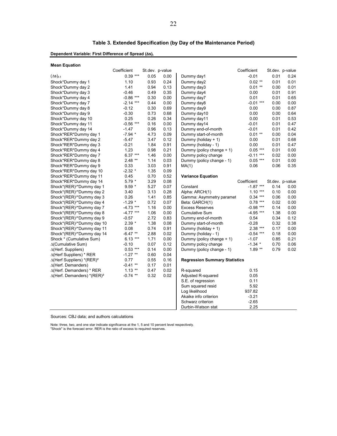| Dependent Variable: First Difference of Spread (Δs), |             |      |                 |            |             |      |                 |  |  |
|------------------------------------------------------|-------------|------|-----------------|------------|-------------|------|-----------------|--|--|
| <b>Mean Equation</b>                                 |             |      |                 |            |             |      |                 |  |  |
|                                                      | Coefficient |      | St.dev. p-value |            | Coefficient |      | St.dev. p-value |  |  |
| $(\Delta s)_{t-1}$                                   | $0.39***$   | 0.05 | 0.00            | Dummy day1 | $-0.01$     | 0.01 | 0.24            |  |  |
| Shock*Dummy day 1                                    | 1.10        | 0.93 | 0.24            | Dummy day2 | $0.02$ **   | 0.01 | 0.01            |  |  |
| Shock*Dummy day 2                                    | 1.41        | 0.94 | 0.13            | Dummy day3 | $0.01$ **   | 0.00 | 0.01            |  |  |
| Shock*Dummy day 3                                    | $-0.46$     | 0.49 | 0.35            | Dummy day4 | 0.00        | 0.01 | 0.91            |  |  |

| Shock*Dummy day 1                               | 1.10        | 0.93 | 0.24 | Dummy day2                           | $0.02$ **   | 0.01            | 0.01 |
|-------------------------------------------------|-------------|------|------|--------------------------------------|-------------|-----------------|------|
| Shock*Dummy day 2                               | 1.41        | 0.94 | 0.13 | Dummy day3                           | $0.01$ **   | 0.00            | 0.01 |
| Shock*Dummy day 3                               | $-0.46$     | 0.49 | 0.35 | Dummy day4                           | 0.00        | 0.01            | 0.91 |
| Shock*Dummy day 4                               | $-0.86$ *** | 0.30 | 0.00 | Dummy day7                           | 0.01        | 0.01            | 0.65 |
| Shock*Dummy day 7                               | $-2.14$ *** | 0.44 | 0.00 | Dummy day8                           | $-0.01$ *** | 0.00            | 0.00 |
| Shock*Dummy day 8                               | $-0.12$     | 0.30 | 0.69 | Dummy day9                           | 0.00        | 0.00            | 0.87 |
| Shock*Dummy day 9                               | $-0.30$     | 0.73 | 0.68 | Dummy day10                          | 0.00        | 0.00            | 0.64 |
| Shock*Dummy day 10                              | 0.25        | 0.26 | 0.34 | Dummy day11                          | 0.00        | 0.01            | 0.53 |
| Shock*Dummy day 11                              | $-0.56$ *** | 0.16 | 0.00 | Dummy day14                          | $-0.01$     | 0.01            | 0.47 |
| Shock*Dummy day 14                              | $-1.47$     | 0.96 | 0.13 | Dummy end-of-month                   | $-0.01$     | 0.01            | 0.42 |
| Shock*RER*Dummy day 1                           | $-7.94$ *   | 4.73 | 0.09 | Dummy start-of-month                 | $0.01***$   | 0.00            | 0.04 |
| Shock*RER*Dummy day 2                           | $-5.47$     | 3.47 | 0.12 | Dummy (holiday + 1)                  | 0.00        | 0.01            | 0.68 |
| Shock*RER*Dummy day 3                           | $-0.21$     | 1.84 | 0.91 | Dummy (holiday - 1)                  | 0.00        | 0.01            | 0.47 |
| Shock*RER*Dummy day 4                           | 1.23        | 0.98 | 0.21 | Dummy (policy change + 1)            | $0.05***$   | 0.01            | 0.00 |
| Shock*RER*Dummy day 7                           | $6.37***$   | 1.46 | 0.00 | Dummy policy change                  | $-0.11***$  | 0.02            | 0.00 |
| Shock*RER*Dummy day 8                           | $2.48$ **   | 1.14 | 0.03 | Dummy (policy change - 1)            | $0.05$ ***  | 0.01            | 0.00 |
| Shock*RER*Dummy day 9                           | 0.33        | 3.03 | 0.91 | MA(1)                                | 0.06        | 0.06            | 0.35 |
| Shock*RER*Dummy day 10                          | $-2.32$ *   | 1.35 | 0.09 |                                      |             |                 |      |
| Shock*RER*Dummy day 11                          | 0.45        | 0.70 | 0.52 | <b>Variance Equation</b>             |             |                 |      |
| Shock*RER*Dummy day 14                          | $5.79*$     | 3.29 | 0.08 |                                      | Coefficient | St.dev. p-value |      |
| Shock*(RER) <sup>2*</sup> Dummy day 1           | $9.59*$     | 5.27 | 0.07 | Constant                             | $-1.87***$  | 0.14            | 0.00 |
| Shock*(RER) <sup>2*</sup> Dummy day 2           | 3.40        | 3.13 | 0.28 | Alpha: ARCH(1)                       | $1.10***$   | 0.10            | 0.00 |
| Shock*(RER) <sup>2*</sup> Dummy day 3           | 0.26        | 1.41 | 0.85 | Gamma: Asymmetry paramet             | $0.34***$   | 0.06            | 0.00 |
| Shock*(RER) <sup>2*</sup> Dummy day 4           | $-1.29$ *   | 0.72 | 0.07 | Beta: GARCH(1)                       | $0.78$ ***  | 0.02            | 0.00 |
| Shock*(RER) <sup>2*</sup> Dummy day 7           | $-4.73$ *** | 1.16 | 0.00 | <b>Excess Reserves</b>               | $-0.98$ *** | 0.14            | 0.00 |
| Shock*(RER) <sup>2*</sup> Dummy day 8           | $-4.77$ *** | 1.06 | 0.00 | <b>Cumulative Sum</b>                | $-4.95$ *** | 1.38            | 0.00 |
| Shock*(RER) <sup>2*</sup> Dummy day 9           | $-0.57$     | 2.72 | 0.83 | Dummy end-of-month                   | 0.54        | 0.34            | 0.12 |
| Shock*(RER) <sup>2*</sup> Dummy day 10          | $2.39*$     | 1.38 | 0.08 | Dummy start-of-month                 | $-0.28$     | 0.32            | 0.38 |
| Shock*(RER) <sup>2*</sup> Dummy day 11          | 0.08        | 0.74 | 0.91 | Dummy (holiday + 1)                  | $2.38***$   | 0.17            | 0.00 |
| Shock*(RER) <sup>2*</sup> Dummy day 14          | $-6.47$ **  | 2.88 | 0.02 | Dummy (holiday - 1)                  | $-0.54$ *** | 0.18            | 0.00 |
| Shock * (Cumulative Sum)                        | $6.13***$   | 1.71 | 0.00 | Dummy (policy change + 1)            | $-1.07$     | 0.85            | 0.21 |
| ∆(Cumulative Sum)                               | $-0.10$     | 0.07 | 0.12 | Dummy policy change                  | $-1.34$ *   | 0.70            | 0.06 |
| $\Delta$ (Herf. Suppliers)                      | $0.53$ ***  | 0.14 | 0.00 | Dummy (policy change - 1)            | $1.89**$    | 0.79            | 0.02 |
| $\Delta$ (Herf Suppliers) * RER                 | $-1.27$ **  | 0.60 | 0.04 |                                      |             |                 |      |
| $\Delta$ (Herf Suppliers) *(RER) <sup>2</sup>   | 0.77        | 0.55 | 0.16 | <b>Regression Summary Statistics</b> |             |                 |      |
| $\Delta$ (Herf. Demanders)                      | $-0.41$ **  | 0.17 | 0.01 |                                      |             |                 |      |
| $\Delta$ (Herf. Demanders) * RER                | $1.13$ **   | 0.47 | 0.02 | R-squared                            | 0.15        |                 |      |
| $\Delta$ (Herf. Demanders) * (RER) <sup>2</sup> | $-0.74$ **  | 0.32 | 0.02 | Adjusted R-squared                   | 0.05        |                 |      |
|                                                 |             |      |      | S.E. of regression                   | 0.11        |                 |      |
|                                                 |             |      |      | Sum squared resid                    | 5.92        |                 |      |
|                                                 |             |      |      | Log likelihood                       | 937.82      |                 |      |
|                                                 |             |      |      | Akaike info criterion                | $-3.21$     |                 |      |

Akaike info criterion

Durbin-Watson stat

Schwarz criterion -2.65<br>Durbin-Watson stat 2.25

Sources: CBJ data; and authors calculations

Note: three, two, and one star indicate significance at the 1, 5 and 10 percent level respectively. "Shock" is the forecast error. RER is the ratio of excess to required reserves.

#### **Table 3. Extended Specification (by Day of the Maintenance Period)**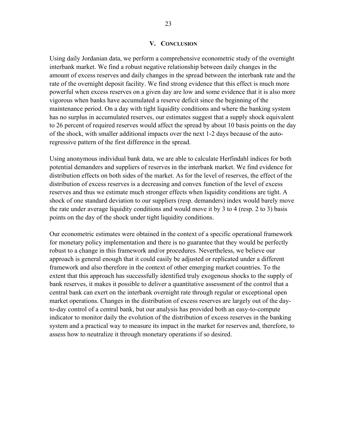#### **V. CONCLUSION**

Using daily Jordanian data, we perform a comprehensive econometric study of the overnight interbank market. We find a robust negative relationship between daily changes in the amount of excess reserves and daily changes in the spread between the interbank rate and the rate of the overnight deposit facility. We find strong evidence that this effect is much more powerful when excess reserves on a given day are low and some evidence that it is also more vigorous when banks have accumulated a reserve deficit since the beginning of the maintenance period. On a day with tight liquidity conditions and where the banking system has no surplus in accumulated reserves, our estimates suggest that a supply shock equivalent to 26 percent of required reserves would affect the spread by about 10 basis points on the day of the shock, with smaller additional impacts over the next 1-2 days because of the autoregressive pattern of the first difference in the spread.

Using anonymous individual bank data, we are able to calculate Herfindahl indices for both potential demanders and suppliers of reserves in the interbank market. We find evidence for distribution effects on both sides of the market. As for the level of reserves, the effect of the distribution of excess reserves is a decreasing and convex function of the level of excess reserves and thus we estimate much stronger effects when liquidity conditions are tight. A shock of one standard deviation to our suppliers (resp. demanders) index would barely move the rate under average liquidity conditions and would move it by 3 to 4 (resp. 2 to 3) basis points on the day of the shock under tight liquidity conditions.

Our econometric estimates were obtained in the context of a specific operational framework for monetary policy implementation and there is no guarantee that they would be perfectly robust to a change in this framework and/or procedures. Nevertheless, we believe our approach is general enough that it could easily be adjusted or replicated under a different framework and also therefore in the context of other emerging market countries. To the extent that this approach has successfully identified truly exogenous shocks to the supply of bank reserves, it makes it possible to deliver a quantitative assessment of the control that a central bank can exert on the interbank overnight rate through regular or exceptional open market operations. Changes in the distribution of excess reserves are largely out of the dayto-day control of a central bank, but our analysis has provided both an easy-to-compute indicator to monitor daily the evolution of the distribution of excess reserves in the banking system and a practical way to measure its impact in the market for reserves and, therefore, to assess how to neutralize it through monetary operations if so desired.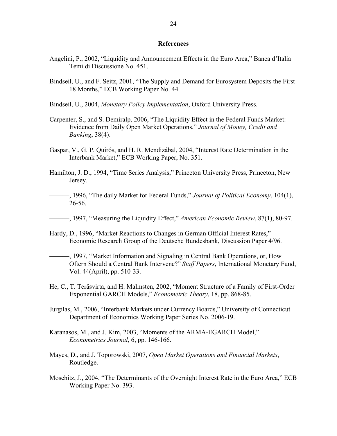#### **References**

- Angelini, P., 2002, "Liquidity and Announcement Effects in the Euro Area," Banca d'Italia Temi di Discussione No. 451.
- Bindseil, U., and F. Seitz, 2001, "The Supply and Demand for Eurosystem Deposits the First 18 Months," ECB Working Paper No. 44.
- Bindseil, U., 2004, *Monetary Policy Implementation*, Oxford University Press.
- Carpenter, S., and S. Demiralp, 2006, "The Liquidity Effect in the Federal Funds Market: Evidence from Daily Open Market Operations," *Journal of Money, Credit and Banking*, 38(4).
- Gaspar, V., G. P. Quirós, and H. R. Mendizábal, 2004, "Interest Rate Determination in the Interbank Market," ECB Working Paper, No. 351.
- Hamilton, J. D., 1994, "Time Series Analysis," Princeton University Press, Princeton, New Jersey.
- ———, 1996, "The daily Market for Federal Funds," *Journal of Political Economy*, 104(1), 26-56.
- ———, 1997, "Measuring the Liquidity Effect," *American Economic Review*, 87(1), 80-97.
- Hardy, D., 1996, "Market Reactions to Changes in German Official Interest Rates," Economic Research Group of the Deutsche Bundesbank, Discussion Paper 4/96.
- ———, 1997, "Market Information and Signaling in Central Bank Operations, or, How Oftern Should a Central Bank Intervene?" *Staff Papers*, International Monetary Fund, Vol. 44(April), pp. 510-33.
- He, C., T. Teräsvirta, and H. Malmsten, 2002, "Moment Structure of a Family of First-Order Exponential GARCH Models," *Econometric Theory*, 18, pp. 868-85.
- Jurgilas, M., 2006, "Interbank Markets under Currency Boards," University of Connecticut Department of Economics Working Paper Series No. 2006-19.
- Karanasos, M., and J. Kim, 2003, "Moments of the ARMA-EGARCH Model," *Econometrics Journal*, 6, pp. 146-166.
- Mayes, D., and J. Toporowski, 2007, *Open Market Operations and Financial Markets*, Routledge.
- Moschitz, J., 2004, "The Determinants of the Overnight Interest Rate in the Euro Area," ECB Working Paper No. 393.